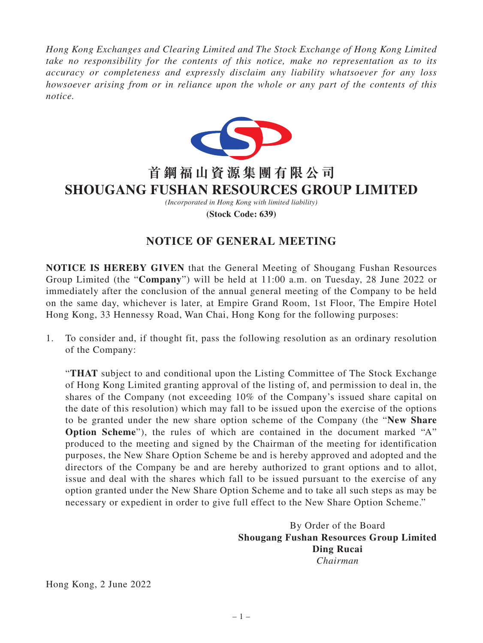*Hong Kong Exchanges and Clearing Limited and The Stock Exchange of Hong Kong Limited take no responsibility for the contents of this notice, make no representation as to its accuracy or completeness and expressly disclaim any liability whatsoever for any loss howsoever arising from or in reliance upon the whole or any part of the contents of this notice.*



## **首鋼福山資源集團有限公司 SHOUGANG FUSHAN RESOURCES GROUP LIMITED**

*(Incorporated in Hong Kong with limited liability)* **(Stock Code: 639)**

## **NOTICE OF GENERAL MEETING**

**NOTICE IS HEREBY GIVEN** that the General Meeting of Shougang Fushan Resources Group Limited (the "**Company**") will be held at 11:00 a.m. on Tuesday, 28 June 2022 or immediately after the conclusion of the annual general meeting of the Company to be held on the same day, whichever is later, at Empire Grand Room, 1st Floor, The Empire Hotel Hong Kong, 33 Hennessy Road, Wan Chai, Hong Kong for the following purposes:

1. To consider and, if thought fit, pass the following resolution as an ordinary resolution of the Company:

"**THAT** subject to and conditional upon the Listing Committee of The Stock Exchange of Hong Kong Limited granting approval of the listing of, and permission to deal in, the shares of the Company (not exceeding 10% of the Company's issued share capital on the date of this resolution) which may fall to be issued upon the exercise of the options to be granted under the new share option scheme of the Company (the "**New Share Option Scheme**"), the rules of which are contained in the document marked "A" produced to the meeting and signed by the Chairman of the meeting for identification purposes, the New Share Option Scheme be and is hereby approved and adopted and the directors of the Company be and are hereby authorized to grant options and to allot, issue and deal with the shares which fall to be issued pursuant to the exercise of any option granted under the New Share Option Scheme and to take all such steps as may be necessary or expedient in order to give full effect to the New Share Option Scheme."

> By Order of the Board **Shougang Fushan Resources Group Limited Ding Rucai** *Chairman*

Hong Kong, 2 June 2022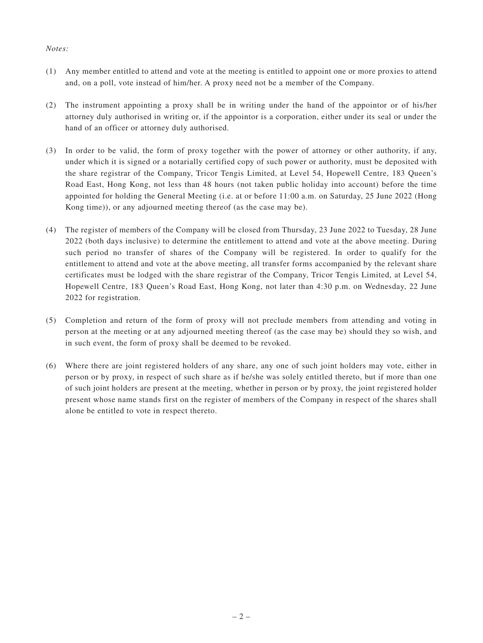## *Notes:*

- (1) Any member entitled to attend and vote at the meeting is entitled to appoint one or more proxies to attend and, on a poll, vote instead of him/her. A proxy need not be a member of the Company.
- (2) The instrument appointing a proxy shall be in writing under the hand of the appointor or of his/her attorney duly authorised in writing or, if the appointor is a corporation, either under its seal or under the hand of an officer or attorney duly authorised.
- (3) In order to be valid, the form of proxy together with the power of attorney or other authority, if any, under which it is signed or a notarially certified copy of such power or authority, must be deposited with the share registrar of the Company, Tricor Tengis Limited, at Level 54, Hopewell Centre, 183 Queen's Road East, Hong Kong, not less than 48 hours (not taken public holiday into account) before the time appointed for holding the General Meeting (i.e. at or before 11:00 a.m. on Saturday, 25 June 2022 (Hong Kong time)), or any adjourned meeting thereof (as the case may be).
- (4) The register of members of the Company will be closed from Thursday, 23 June 2022 to Tuesday, 28 June 2022 (both days inclusive) to determine the entitlement to attend and vote at the above meeting. During such period no transfer of shares of the Company will be registered. In order to qualify for the entitlement to attend and vote at the above meeting, all transfer forms accompanied by the relevant share certificates must be lodged with the share registrar of the Company, Tricor Tengis Limited, at Level 54, Hopewell Centre, 183 Queen's Road East, Hong Kong, not later than 4:30 p.m. on Wednesday, 22 June 2022 for registration.
- (5) Completion and return of the form of proxy will not preclude members from attending and voting in person at the meeting or at any adjourned meeting thereof (as the case may be) should they so wish, and in such event, the form of proxy shall be deemed to be revoked.
- (6) Where there are joint registered holders of any share, any one of such joint holders may vote, either in person or by proxy, in respect of such share as if he/she was solely entitled thereto, but if more than one of such joint holders are present at the meeting, whether in person or by proxy, the joint registered holder present whose name stands first on the register of members of the Company in respect of the shares shall alone be entitled to vote in respect thereto.